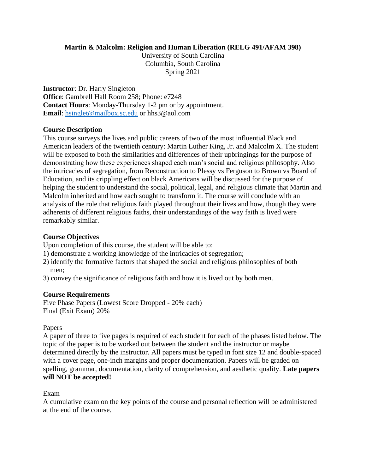## **Martin & Malcolm: Religion and Human Liberation (RELG 491/AFAM 398)**

University of South Carolina Columbia, South Carolina Spring 2021

**Instructor**: Dr. Harry Singleton **Office**: Gambrell Hall Room 258; Phone: e7248 **Contact Hours**: Monday-Thursday 1-2 pm or by appointment. **Email**: [hsinglet@mailbox.sc.edu](mailto:hsinglet@mailbox.sc.edu) or hhs3@aol.com

# **Course Description**

This course surveys the lives and public careers of two of the most influential Black and American leaders of the twentieth century: Martin Luther King, Jr. and Malcolm X. The student will be exposed to both the similarities and differences of their upbringings for the purpose of demonstrating how these experiences shaped each man's social and religious philosophy. Also the intricacies of segregation, from Reconstruction to Plessy vs Ferguson to Brown vs Board of Education, and its crippling effect on black Americans will be discussed for the purpose of helping the student to understand the social, political, legal, and religious climate that Martin and Malcolm inherited and how each sought to transform it. The course will conclude with an analysis of the role that religious faith played throughout their lives and how, though they were adherents of different religious faiths, their understandings of the way faith is lived were remarkably similar.

## **Course Objectives**

Upon completion of this course, the student will be able to:

- 1) demonstrate a working knowledge of the intricacies of segregation;
- 2) identify the formative factors that shaped the social and religious philosophies of both men;
- 3) convey the significance of religious faith and how it is lived out by both men.

### **Course Requirements**

Five Phase Papers (Lowest Score Dropped - 20% each) Final (Exit Exam) 20%

### Papers

A paper of three to five pages is required of each student for each of the phases listed below. The topic of the paper is to be worked out between the student and the instructor or maybe determined directly by the instructor. All papers must be typed in font size 12 and double-spaced with a cover page, one-inch margins and proper documentation. Papers will be graded on spelling, grammar, documentation, clarity of comprehension, and aesthetic quality. **Late papers will NOT be accepted!** 

# Exam

A cumulative exam on the key points of the course and personal reflection will be administered at the end of the course.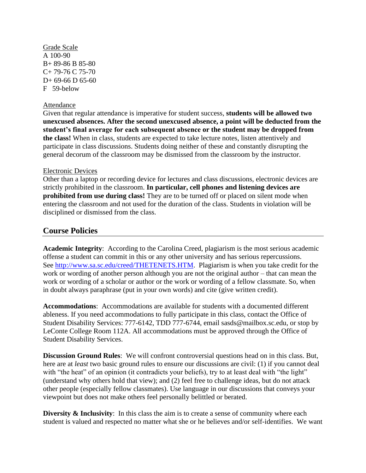Grade Scale A 100-90 B+ 89-86 B 85-80 C+ 79-76 C 75-70  $D+ 69-66$  D 65-60 F 59-below

#### Attendance

Given that regular attendance is imperative for student success, **students will be allowed two unexcused absences. After the second unexcused absence, a point will be deducted from the student's final average for each subsequent absence or the student may be dropped from the class!** When in class, students are expected to take lecture notes, listen attentively and participate in class discussions. Students doing neither of these and constantly disrupting the general decorum of the classroom may be dismissed from the classroom by the instructor.

#### Electronic Devices

Other than a laptop or recording device for lectures and class discussions, electronic devices are strictly prohibited in the classroom. **In particular, cell phones and listening devices are prohibited from use during class!** They are to be turned off or placed on silent mode when entering the classroom and not used for the duration of the class. Students in violation will be disciplined or dismissed from the class.

# **Course Policies**

**Academic Integrity**: According to the Carolina Creed, plagiarism is the most serious academic offense a student can commit in this or any other university and has serious repercussions. See [http://www.sa.sc.edu/creed/THETENETS.HTM.](http://www.sa.sc.edu/creed/THETENETS.HTM) Plagiarism is when you take credit for the work or wording of another person although you are not the original author – that can mean the work or wording of a scholar or author or the work or wording of a fellow classmate. So, when in doubt always paraphrase (put in your own words) and cite (give written credit).

**Accommodations**: Accommodations are available for students with a documented different ableness. If you need accommodations to fully participate in this class, contact the Office of Student Disability Services: 777-6142, TDD 777-6744, email sasds@mailbox.sc.edu, or stop by LeConte College Room 112A. All accommodations must be approved through the Office of Student Disability Services.

**Discussion Ground Rules**: We will confront controversial questions head on in this class. But, here are at *least* two basic ground rules to ensure our discussions are civil: (1) if you cannot deal with "the heat" of an opinion (it contradicts your beliefs), try to at least deal with "the light" (understand why others hold that view); and (2) feel free to challenge ideas, but do not attack other people (especially fellow classmates). Use language in our discussions that conveys your viewpoint but does not make others feel personally belittled or berated.

**Diversity & Inclusivity:** In this class the aim is to create a sense of community where each student is valued and respected no matter what she or he believes and/or self-identifies. We want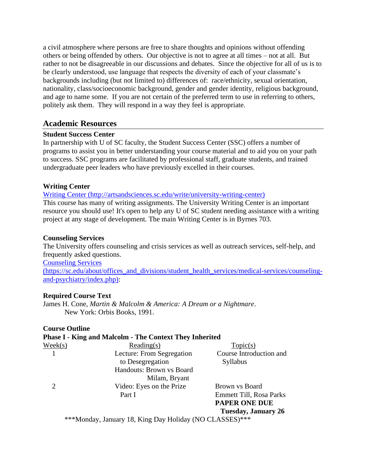a civil atmosphere where persons are free to share thoughts and opinions without offending others or being offended by others. Our objective is not to agree at all times – not at all. But rather to not be disagreeable in our discussions and debates. Since the objective for all of us is to be clearly understood, use language that respects the diversity of each of your classmate's backgrounds including (but not limited to) differences of: race/ethnicity, sexual orientation, nationality, class/socioeconomic background, gender and gender identity, religious background, and age to name some. If you are not certain of the preferred term to use in referring to others, politely ask them. They will respond in a way they feel is appropriate.

# **Academic Resources**

# **Student Success Center**

In partnership with U of SC faculty, the Student Success Center (SSC) offers a number of programs to assist you in better understanding your course material and to aid you on your path to success. SSC programs are facilitated by professional staff, graduate students, and trained undergraduate peer leaders who have previously excelled in their courses.

# **Writing Center**

[Writing Center \(http://artsandsciences.sc.edu/write/university-writing-center\)](about:blank)

This course has many of writing assignments. The University Writing Center is an important resource you should use! It's open to help any U of SC student needing assistance with a writing project at any stage of development. The main Writing Center is in Byrnes 703.

### **Counseling Services**

The University offers counseling and crisis services as well as outreach services, self-help, and frequently asked questions. [Counseling Services](https://sc.edu/about/offices_and_divisions/student_health_services/medical-services/counseling-and-psychiatry/index.php)  [\(https://sc.edu/about/offices\\_and\\_divisions/student\\_health\\_services/medical-services/counseling-](https://sc.edu/about/offices_and_divisions/student_health_services/medical-services/counseling-and-psychiatry/index.php)

[and-psychiatry/index.php\):](https://sc.edu/about/offices_and_divisions/student_health_services/medical-services/counseling-and-psychiatry/index.php)

### **Required Course Text**

James H. Cone, *Martin & Malcolm & America: A Dream or a Nightmare*. New York: Orbis Books, 1991.

### **Course Outline**

# **Phase I - King and Malcolm - The Context They Inherited**  $\text{Weak}(s)$  Reading(s)  $\text{Topic}(s)$  1 Lecture: From Segregation Course Introduction and to Desegregation Syllabus Handouts: Brown vs Board Milam, Bryant 2 Video: Eyes on the Prize Brown vs Board Part I Emmett Till, Rosa Parks **PAPER ONE DUE Tuesday, January 26**

\*\*\*Monday, January 18, King Day Holiday (NO CLASSES)\*\*\*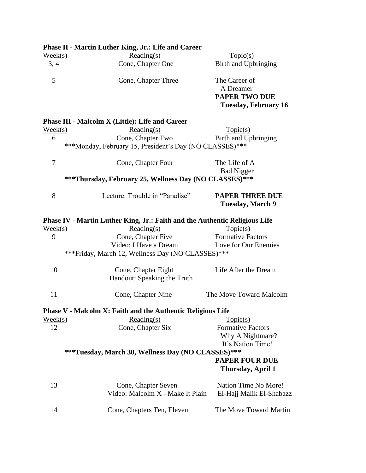|                  | <b>Phase II - Martin Luther King, Jr.: Life and Career</b>                 |                             |
|------------------|----------------------------------------------------------------------------|-----------------------------|
| $\text{Week}(s)$ | Reading(s)                                                                 | Topic(s)                    |
| 3, 4             | Cone, Chapter One                                                          | Birth and Upbringing        |
| 5                | Cone, Chapter Three                                                        | The Career of               |
|                  |                                                                            | A Dreamer                   |
|                  |                                                                            | <b>PAPER TWO DUE</b>        |
|                  |                                                                            | <b>Tuesday, February 16</b> |
|                  | <b>Phase III - Malcolm X (Little): Life and Career</b>                     |                             |
| $\text{Week}(s)$ | Reading(s)                                                                 | Topic(s)                    |
| 6                | Cone, Chapter Two                                                          | Birth and Upbringing        |
|                  | ***Monday, February 15, President's Day (NO CLASSES)***                    |                             |
| 7                | Cone, Chapter Four                                                         | The Life of A               |
|                  |                                                                            | <b>Bad Nigger</b>           |
|                  | ***Thursday, February 25, Wellness Day (NO CLASSES)***                     |                             |
| 8                | Lecture: Trouble in "Paradise"                                             | <b>PAPER THREE DUE</b>      |
|                  |                                                                            | <b>Tuesday, March 9</b>     |
|                  | Phase IV - Martin Luther King, Jr.: Faith and the Authentic Religious Life |                             |
| $\text{Week}(s)$ | Reading(s)                                                                 | Topic(s)                    |
| 9                | Cone, Chapter Five                                                         | <b>Formative Factors</b>    |
|                  | Video: I Have a Dream Love for Our Enemies                                 |                             |
|                  | *** Friday, March 12, Wellness Day (NO CLASSES)***                         |                             |
| 10               | Cone, Chapter Eight                                                        | Life After the Dream        |
|                  | Handout: Speaking the Truth                                                |                             |
| 11               | Cone, Chapter Nine                                                         | The Move Toward Malcolm     |
|                  | Phase V - Malcolm X: Faith and the Authentic Religious Life                |                             |
| $\text{Week}(s)$ | Reading(s)                                                                 | Topic(s)                    |
| 12               | Cone, Chapter Six                                                          | <b>Formative Factors</b>    |
|                  |                                                                            | Why A Nightmare?            |
|                  |                                                                            | It's Nation Time!           |
|                  | ***Tuesday, March 30, Wellness Day (NO CLASSES)***                         |                             |
|                  |                                                                            | <b>PAPER FOUR DUE</b>       |
|                  |                                                                            | Thursday, April 1           |
| 13               | Cone, Chapter Seven                                                        | Nation Time No More!        |
|                  | Video: Malcolm X - Make It Plain                                           | El-Hajj Malik El-Shabazz    |
| 14               | Cone, Chapters Ten, Eleven                                                 | The Move Toward Martin      |